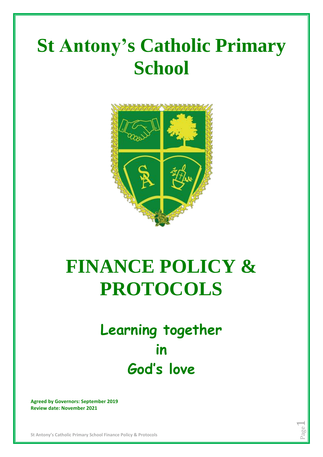# **St Antony's Catholic Primary School**



# **FINANCE POLICY & PROTOCOLS**

## **Learning together in God's love**

Page  $\overline{\phantom{0}}$ 

**Agreed by Governors: September 2019 Review date: November 2021**

**St Antony's Catholic Primary School Finance Policy & Protocols**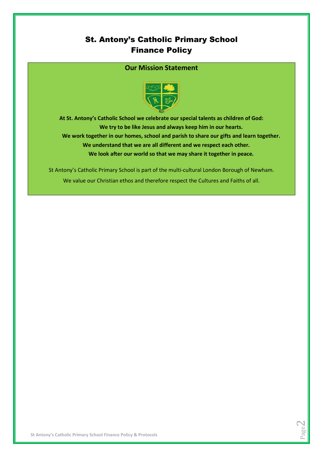### St. Antony's Catholic Primary School Finance Policy

#### **Our Mission Statement**



**At St. Antony's Catholic School we celebrate our special talents as children of God: We try to be like Jesus and always keep him in our hearts. We work together in our homes, school and parish to share our gifts and learn together. We understand that we are all different and we respect each other. We look after our world so that we may share it together in peace.**

> Page  $\mathrel{\sim}$

St Antony's Catholic Primary School is part of the multi-cultural London Borough of Newham. We value our Christian ethos and therefore respect the Cultures and Faiths of all.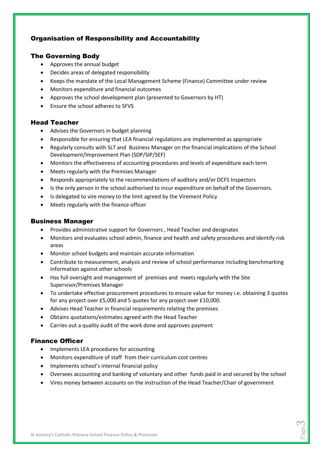#### Organisation of Responsibility and Accountability

#### The Governing Body

- Approves the annual budget
- Decides areas of delegated responsibility
- Keeps the mandate of the Local Management Scheme (Finance) Committee under review
- Monitors expenditure and financial outcomes
- Approves the school development plan (presented to Governors by HT)
- Ensure the school adheres to SFVS

#### Head Teacher

- Advises the Governors in budget planning
- Responsible for ensuring that LEA financial regulations are implemented as appropriate
- Regularly consults with SLT and Business Manager on the financial implications of the School Development/Improvement Plan (SDP/SIP/SEF)
- Monitors the effectiveness of accounting procedures and levels of expenditure each term
- Meets regularly with the Premises Manager
- Responds appropriately to the recommendations of auditory and/or DCFS Inspectors
- Is the only person in the school authorised to incur expenditure on behalf of the Governors.
- Is delegated to vire money to the limit agreed by the Virement Policy
- Meets regularly with the finance officer

#### Business Manager

- Provides administrative support for Governors , Head Teacher and designates
- Monitors and evaluates school admin, finance and health and safety procedures and identify risk areas
- Monitor school budgets and maintain accurate information
- Contribute to measurement, analysis and review of school performance including benchmarking information against other schools
- Has full oversight and management of premises and meets regularly with the Site Supervisor/Premises Manager
- To undertake effective procurement procedures to ensure value for money i.e. obtaining 3 quotes for any project over £5,000 and 5 quotes for any project over £10,000.
- Advises Head Teacher in financial requirements relating the premises
- Obtains quotations/estimates agreed with the Head Teacher
- Carries out a quality audit of the work done and approves payment

#### Finance Officer

- Implements LEA procedures for accounting
- Monitors expenditure of staff from their curriculum cost centres
- Implements school's internal financial policy
- Oversees accounting and banking of voluntary and other funds paid in and secured by the school
- Vires money between accounts on the instruction of the Head Teacher/Chair of government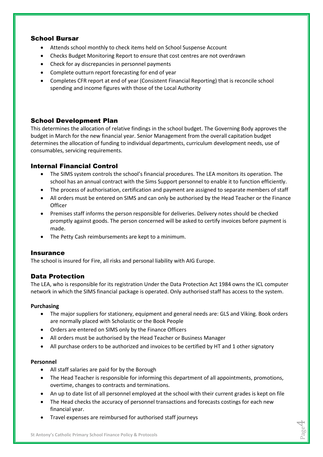#### School Bursar

- Attends school monthly to check items held on School Suspense Account
- Checks Budget Monitoring Report to ensure that cost centres are not overdrawn
- Check for ay discrepancies in personnel payments
- Complete outturn report forecasting for end of year
- Completes CFR report at end of year (Consistent Financial Reporting) that is reconcile school spending and income figures with those of the Local Authority

#### School Development Plan

This determines the allocation of relative findings in the school budget. The Governing Body approves the budget in March for the new financial year. Senior Management from the overall capitation budget determines the allocation of funding to individual departments, curriculum development needs, use of consumables, servicing requirements.

#### Internal Financial Control

- The SIMS system controls the school's financial procedures. The LEA monitors its operation. The school has an annual contract with the Sims Support personnel to enable it to function efficiently.
- The process of authorisation, certification and payment are assigned to separate members of staff
- All orders must be entered on SIMS and can only be authorised by the Head Teacher or the Finance **Officer**
- Premises staff informs the person responsible for deliveries. Delivery notes should be checked promptly against goods. The person concerned will be asked to certify invoices before payment is made.
- The Petty Cash reimbursements are kept to a minimum.

#### **Insurance**

The school is insured for Fire, all risks and personal liability with AIG Europe.

#### Data Protection

The LEA, who is responsible for its registration Under the Data Protection Act 1984 owns the ICL computer network in which the SIMS financial package is operated. Only authorised staff has access to the system.

#### **Purchasing**

- The major suppliers for stationery, equipment and general needs are: GLS and Viking. Book orders are normally placed with Scholastic or the Book People
- Orders are entered on SIMS only by the Finance Officers
- All orders must be authorised by the Head Teacher or Business Manager
- All purchase orders to be authorized and invoices to be certified by HT and 1 other signatory

#### **Personnel**

- All staff salaries are paid for by the Borough
- The Head Teacher is responsible for informing this department of all appointments, promotions, overtime, changes to contracts and terminations.
- An up to date list of all personnel employed at the school with their current grades is kept on file
- The Head checks the accuracy of personnel transactions and forecasts costings for each new financial year.
- Travel expenses are reimbursed for authorised staff journeys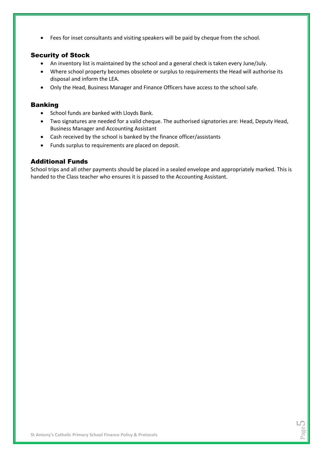Fees for inset consultants and visiting speakers will be paid by cheque from the school.

#### Security of Stock

- An inventory list is maintained by the school and a general check is taken every June/July.
- Where school property becomes obsolete or surplus to requirements the Head will authorise its disposal and inform the LEA.
- Only the Head, Business Manager and Finance Officers have access to the school safe.

#### Banking

- School funds are banked with Lloyds Bank.
- Two signatures are needed for a valid cheque. The authorised signatories are: Head, Deputy Head, Business Manager and Accounting Assistant
- Cash received by the school is banked by the finance officer/assistants
- Funds surplus to requirements are placed on deposit.

#### Additional Funds

School trips and all other payments should be placed in a sealed envelope and appropriately marked. This is handed to the Class teacher who ensures it is passed to the Accounting Assistant.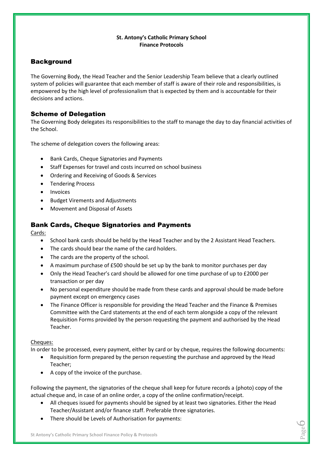#### **St. Antony's Catholic Primary School Finance Protocols**

#### **Background**

The Governing Body, the Head Teacher and the Senior Leadership Team believe that a clearly outlined system of policies will guarantee that each member of staff is aware of their role and responsibilities, is empowered by the high level of professionalism that is expected by them and is accountable for their decisions and actions.

#### Scheme of Delegation

The Governing Body delegates its responsibilities to the staff to manage the day to day financial activities of the School.

The scheme of delegation covers the following areas:

- Bank Cards, Cheque Signatories and Payments
- Staff Expenses for travel and costs incurred on school business
- Ordering and Receiving of Goods & Services
- Tendering Process
- Invoices
- Budget Virements and Adjustments
- Movement and Disposal of Assets

#### Bank Cards, Cheque Signatories and Payments

Cards:

- School bank cards should be held by the Head Teacher and by the 2 Assistant Head Teachers.
- The cards should bear the name of the card holders.
- The cards are the property of the school.
- A maximum purchase of £500 should be set up by the bank to monitor purchases per day
- Only the Head Teacher's card should be allowed for one time purchase of up to £2000 per transaction or per day
- No personal expenditure should be made from these cards and approval should be made before payment except on emergency cases
- The Finance Officer is responsible for providing the Head Teacher and the Finance & Premises Committee with the Card statements at the end of each term alongside a copy of the relevant Requisition Forms provided by the person requesting the payment and authorised by the Head Teacher.

#### Cheques:

In order to be processed, every payment, either by card or by cheque, requires the following documents:

- Requisition form prepared by the person requesting the purchase and approved by the Head Teacher;
- A copy of the invoice of the purchase.

Following the payment, the signatories of the cheque shall keep for future records a (photo) copy of the actual cheque and, in case of an online order, a copy of the online confirmation/receipt.

 All cheques issued for payments should be signed by at least two signatories. Either the Head Teacher/Assistant and/or finance staff. Preferable three signatories.

> Page  $\circ$

• There should be Levels of Authorisation for payments: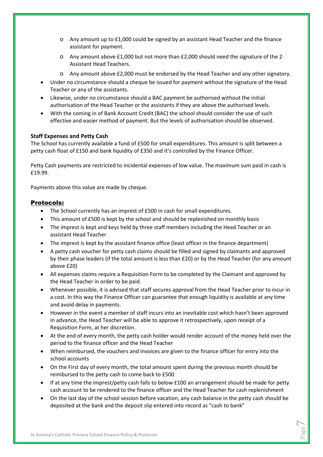- o Any amount up to £1,000 could be signed by an assistant Head Teacher and the finance assistant for payment.
- o Any amount above £1,000 but not more than £2,000 should need the signature of the 2 Assistant Head Teachers.
- o Any amount above £2,000 must be endorsed by the Head Teacher and any other signatory.
- Under no circumstance should a cheque be issued for payment without the signature of the Head Teacher or any of the assistants.
- Likewise, under no circumstance should a BAC payment be authorised without the initial authorisation of the Head Teacher or the assistants if they are above the authorised levels.
- With the coming in of Bank Account Credit (BAC) the school should consider the use of such effective and easier method of payment. But the levels of authorisation should be observed.

#### **Staff Expenses and Petty Cash**

The School has currently available a fund of £500 for small expenditures. This amount is split between a petty cash float of £150 and bank liquidity of £350 and it's controlled by the Finance Officer.

Petty Cash payments are restricted to incidental expenses of low value. The maximum sum paid in cash is £19.99.

Payments above this value are made by cheque.

#### Protocols:

- The School currently has an imprest of £500 in cash for small expenditures.
- This amount of £500 is kept by the school and should be replenished on monthly basis
- The imprest is kept and keys held by three staff members including the Head Teacher or an assistant Head Teacher
- The imprest is kept by the assistant finance office (least officer in the finance department)
- A petty cash voucher for petty cash claims should be filled and signed by claimants and approved by their phase leaders (if the total amount is less than £20) or by the Head Teacher (for any amount above £20)
- All expenses claims require a Requisition Form to be completed by the Claimant and approved by the Head Teacher in order to be paid.
- Whenever possible, it is advised that staff secures approval from the Head Teacher prior to incur in a cost. In this way the Finance Officer can guarantee that enough liquidity is available at any time and avoid delay in payments.
- However in the event a member of staff incurs into an inevitable cost which hasn't been approved in advance, the Head Teacher will be able to approve it retrospectively, upon receipt of a Requisition Form, at her discretion.
- At the end of every month, the petty cash holder would render account of the money held over the period to the finance officer and the Head Teacher
- When reimbursed, the vouchers and invoices are given to the finance officer for entry into the school accounts
- On the First day of every month, the total amount spent during the previous month should be reimbursed to the petty cash to come back to £500
- If at any time the imprest/petty cash falls to below £100 an arrangement should be made for petty cash account to be rendered to the finance officer and the Head Teacher for cash replenishment
- On the last day of the school session before vacation, any cash balance in the petty cash should be deposited at the bank and the deposit slip entered into record as "cash to bank"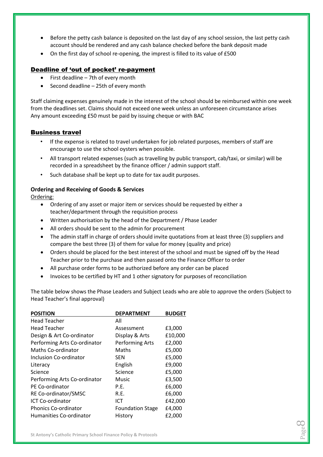- Before the petty cash balance is deposited on the last day of any school session, the last petty cash account should be rendered and any cash balance checked before the bank deposit made
- On the first day of school re-opening, the imprest is filled to its value of £500

#### Deadline of 'out of pocket' re-payment

- First deadline 7th of every month
- Second deadline 25th of every month

Staff claiming expenses genuinely made in the interest of the school should be reimbursed within one week from the deadlines set. Claims should not exceed one week unless an unforeseen circumstance arises Any amount exceeding £50 must be paid by issuing cheque or with BAC

#### Business travel

- If the expense is related to travel undertaken for job related purposes, members of staff are encourage to use the school oysters when possible.
- All transport related expenses (such as travelling by public transport, cab/taxi, or similar) will be recorded in a spreadsheet by the finance officer / admin support staff.
- Such database shall be kept up to date for tax audit purposes.

#### **Ordering and Receiving of Goods & Services**

Ordering:

- Ordering of any asset or major item or services should be requested by either a teacher/department through the requisition process
- Written authorisation by the head of the Department / Phase Leader
- All orders should be sent to the admin for procurement
- The admin staff in charge of orders should invite quotations from at least three (3) suppliers and compare the best three (3) of them for value for money (quality and price)
- Orders should be placed for the best interest of the school and must be signed off by the Head Teacher prior to the purchase and then passed onto the Finance Officer to order
- All purchase order forms to be authorized before any order can be placed
- Invoices to be certified by HT and 1 other signatory for purposes of reconciliation

The table below shows the Phase Leaders and Subject Leads who are able to approve the orders (Subject to Head Teacher's final approval)

| <b>POSITION</b>              | <b>DEPARTMENT</b>       | <b>BUDGET</b> |
|------------------------------|-------------------------|---------------|
| <b>Head Teacher</b>          | All                     |               |
| Head Teacher                 | Assessment              | £3,000        |
| Design & Art Co-ordinator    | Display & Arts          | £10,000       |
| Performing Arts Co-ordinator | <b>Performing Arts</b>  | £2,000        |
| Maths Co-ordinator           | Maths                   | £5,000        |
| Inclusion Co-ordinator       | <b>SEN</b>              | £5,000        |
| Literacy                     | English                 | £9,000        |
| Science                      | Science                 | £5,000        |
| Performing Arts Co-ordinator | Music                   | £3,500        |
| PE Co-ordinator              | P.E.                    | £6,000        |
| RE Co-ordinator/SMSC         | R.E.                    | £6,000        |
| <b>ICT Co-ordinator</b>      | ICT                     | £42,000       |
| <b>Phonics Co-ordinator</b>  | <b>Foundation Stage</b> | £4,000        |
| Humanities Co-ordinator      | History                 | £2,000        |

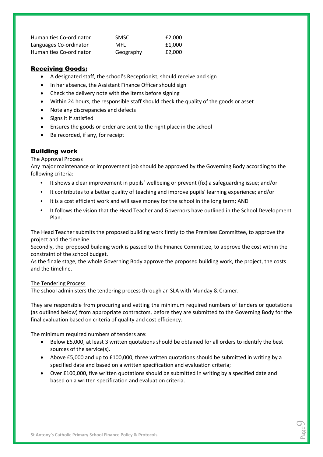| Humanities Co-ordinator        | <b>SMSC</b> | £2.000 |
|--------------------------------|-------------|--------|
| Languages Co-ordinator         | MFL         | £1.000 |
| <b>Humanities Co-ordinator</b> | Geography   | £2.000 |

#### Receiving Goods:

- A designated staff, the school's Receptionist, should receive and sign
- In her absence, the Assistant Finance Officer should sign
- Check the delivery note with the items before signing
- Within 24 hours, the responsible staff should check the quality of the goods or asset
- Note any discrepancies and defects
- Signs it if satisfied
- Ensures the goods or order are sent to the right place in the school
- Be recorded, if any, for receipt

#### Building work

#### The Approval Process

Any major maintenance or improvement job should be approved by the Governing Body according to the following criteria:

- It shows a clear improvement in pupils' wellbeing or prevent (fix) a safeguarding issue; and/or
- It contributes to a better quality of teaching and improve pupils' learning experience; and/or
- It is a cost efficient work and will save money for the school in the long term; AND
- It follows the vision that the Head Teacher and Governors have outlined in the School Development Plan.

The Head Teacher submits the proposed building work firstly to the Premises Committee, to approve the project and the timeline.

Secondly, the proposed building work is passed to the Finance Committee, to approve the cost within the constraint of the school budget.

As the finale stage, the whole Governing Body approve the proposed building work, the project, the costs and the timeline.

#### The Tendering Process

The school administers the tendering process through an SLA with Munday & Cramer.

They are responsible from procuring and vetting the minimum required numbers of tenders or quotations (as outlined below) from appropriate contractors, before they are submitted to the Governing Body for the final evaluation based on criteria of quality and cost efficiency.

The minimum required numbers of tenders are:

- Below £5,000, at least 3 written quotations should be obtained for all orders to identify the best sources of the service(s).
- Above £5,000 and up to £100,000, three written quotations should be submitted in writing by a specified date and based on a written specification and evaluation criteria;
- Over £100,000, five written quotations should be submitted in writing by a specified date and based on a written specification and evaluation criteria.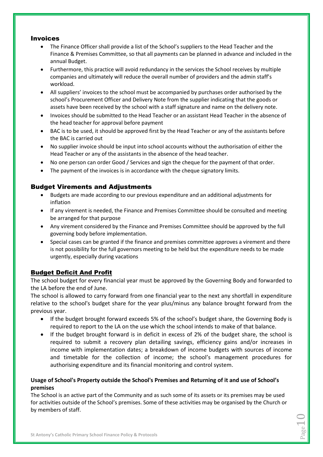#### Invoices

- The Finance Officer shall provide a list of the School's suppliers to the Head Teacher and the Finance & Premises Committee, so that all payments can be planned in advance and included in the annual Budget.
- Furthermore, this practice will avoid redundancy in the services the School receives by multiple companies and ultimately will reduce the overall number of providers and the admin staff's workload.
- All suppliers' invoices to the school must be accompanied by purchases order authorised by the school's Procurement Officer and Delivery Note from the supplier indicating that the goods or assets have been received by the school with a staff signature and name on the delivery note.
- Invoices should be submitted to the Head Teacher or an assistant Head Teacher in the absence of the head teacher for approval before payment
- BAC is to be used, it should be approved first by the Head Teacher or any of the assistants before the BAC is carried out
- No supplier invoice should be input into school accounts without the authorisation of either the Head Teacher or any of the assistants in the absence of the head teacher.
- No one person can order Good / Services and sign the cheque for the payment of that order.
- The payment of the invoices is in accordance with the cheque signatory limits.

#### Budget Virements and Adjustments

- Budgets are made according to our previous expenditure and an additional adjustments for inflation
- If any virement is needed, the Finance and Premises Committee should be consulted and meeting be arranged for that purpose
- Any virement considered by the Finance and Premises Committee should be approved by the full governing body before implementation.
- Special cases can be granted if the finance and premises committee approves a virement and there is not possibility for the full governors meeting to be held but the expenditure needs to be made urgently, especially during vacations

#### Budget Deficit And Profit

The school budget for every financial year must be approved by the Governing Body and forwarded to the LA before the end of June.

The school is allowed to carry forward from one financial year to the next any shortfall in expenditure relative to the school's budget share for the year plus/minus any balance brought forward from the previous year.

- If the budget brought forward exceeds 5% of the school's budget share, the Governing Body is required to report to the LA on the use which the school intends to make of that balance.
- If the budget brought forward is in deficit in excess of 2% of the budget share, the school is required to submit a recovery plan detailing savings, efficiency gains and/or increases in income with implementation dates; a breakdown of income budgets with sources of income and timetable for the collection of income; the school's management procedures for authorising expenditure and its financial monitoring and control system.

#### **Usage of School's Property outside the School's Premises and Returning of it and use of School's premises**

The School is an active part of the Community and as such some of its assets or its premises may be used for activities outside of the School's premises. Some of these activities may be organised by the Church or by members of staff.

Page $10$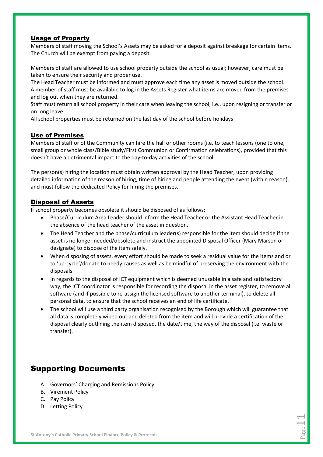#### Usage of Property

Members of staff moving the School's Assets may be asked for a deposit against breakage for certain items. The Church will be exempt from paying a deposit.

Members of staff are allowed to use school property outside the school as usual; however, care must be taken to ensure their security and proper use.

The Head Teacher must be informed and must approve each time any asset is moved outside the school. A member of staff must be available to log in the Assets Register what items are moved from the premises and log out when they are returned.

Staff must return all school property in their care when leaving the school, i.e., upon resigning or transfer or on long leave.

All school properties must be returned on the last day of the school before holidays

#### Use of Premises

Members of staff or of the Community can hire the hall or other rooms (i.e. to teach lessons (one to one, small group or whole class/Bible study/First Communion or Confirmation celebrations), provided that this doesn't have a detrimental impact to the day-to-day activities of the school.

The person(s) hiring the location must obtain written approval by the Head Teacher, upon providing detailed information of the reason of hiring, time of hiring and people attending the event (within reason), and must follow the dedicated Policy for hiring the premises.

#### Disposal of Assets

If school property becomes obsolete it should be disposed of as follows:

- Phase/Curriculum Area Leader should inform the Head Teacher or the Assistant Head Teacher in the absence of the head teacher of the asset in question.
- The Head Teacher and the phase/curriculum leader(s) responsible for the item should decide if the asset is no longer needed/obsolete and instruct the appointed Disposal Officer (Mary Marson or designate) to dispose of the item safely.
- When disposing of assets, every effort should be made to seek a residual value for the items and or to 'up-cycle'/donate to needy causes as well as be mindful of preserving the environment with the disposals.
- In regards to the disposal of ICT equipment which is deemed unusable in a safe and satisfactory way, the ICT coordinator is responsible for recording the disposal in the asset register, to remove all software (and if possible to re-assign the licensed software to another terminal), to delete all personal data, to ensure that the school receives an end of life certificate.
- The school will use a third party organisation recognised by the Borough which will guarantee that all data is completely wiped out and deleted from the item and will provide a certification of the disposal clearly outlining the item disposed, the date/time, the way of the disposal (i.e. waste or transfer).

### Supporting Documents

- A. Governors' Charging and Remissions Policy
- B. Virement Policy
- C. Pay Policy
- D. Letting Policy